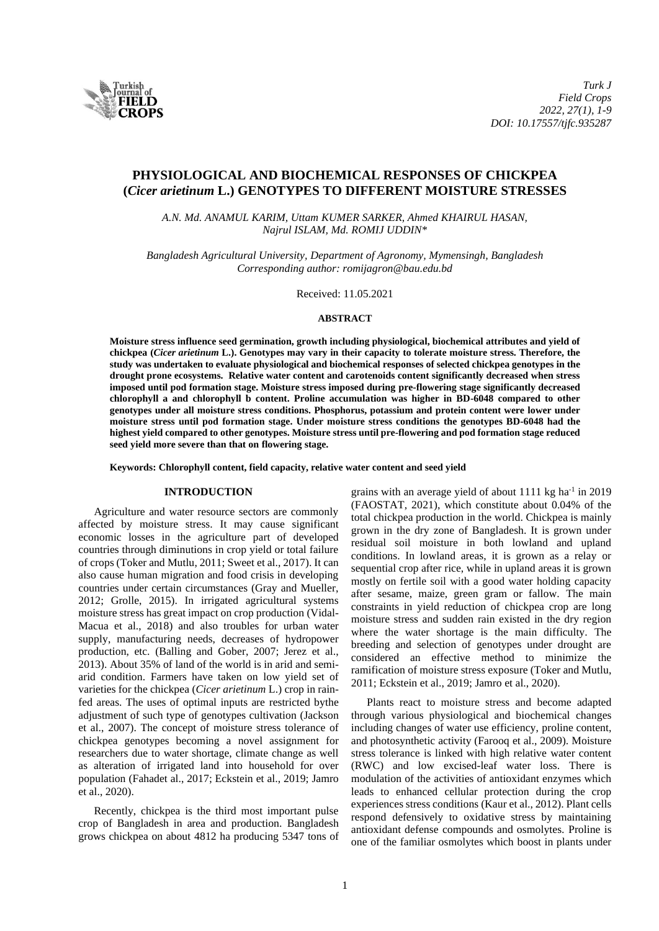

# **PHYSIOLOGICAL AND BIOCHEMICAL RESPONSES OF CHICKPEA (***Cicer arietinum* **L.) GENOTYPES TO DIFFERENT MOISTURE STRESSES**

*A.N. Md. ANAMUL KARIM, Uttam KUMER SARKER, Ahmed KHAIRUL HASAN, Najrul ISLAM, Md. ROMIJ UDDIN\**

*Bangladesh Agricultural University, Department of Agronomy, Mymensingh, Bangladesh Corresponding author: romijagron@bau.edu.bd*

Received: 11.05.2021

#### **ABSTRACT**

**Moisture stress influence seed germination, growth including physiological, biochemical attributes and yield of chickpea (***Cicer arietinum* **L.). Genotypes may vary in their capacity to tolerate moisture stress. Therefore, the study was undertaken to evaluate physiological and biochemical responses of selected chickpea genotypes in the drought prone ecosystems. Relative water content and carotenoids content significantly decreased when stress imposed until pod formation stage. Moisture stress imposed during pre-flowering stage significantly decreased chlorophyll a and chlorophyll b content. Proline accumulation was higher in BD-6048 compared to other genotypes under all moisture stress conditions. Phosphorus, potassium and protein content were lower under moisture stress until pod formation stage. Under moisture stress conditions the genotypes BD-6048 had the highest yield compared to other genotypes. Moisture stress until pre-flowering and pod formation stage reduced seed yield more severe than that on flowering stage.**

**Keywords: Chlorophyll content, field capacity, relative water content and seed yield**

# **INTRODUCTION**

Agriculture and water resource sectors are commonly affected by moisture stress. It may cause significant economic losses in the agriculture part of developed countries through diminutions in crop yield or total failure of crops (Toker and Mutlu, 2011; Sweet et al., 2017). It can also cause human migration and food crisis in developing countries under certain circumstances (Gray and Mueller, 2012; Grolle, 2015). In irrigated agricultural systems moisture stress has great impact on crop production (Vidal-Macua et al., 2018) and also troubles for urban water supply, manufacturing needs, decreases of hydropower production, etc. (Balling and Gober, 2007; Jerez et al., 2013). About 35% of land of the world is in arid and semiarid condition. Farmers have taken on low yield set of varieties for the chickpea (*Cicer arietinum* L.) crop in rainfed areas. The uses of optimal inputs are restricted bythe adjustment of such type of genotypes cultivation (Jackson et al., 2007). The concept of moisture stress tolerance of chickpea genotypes becoming a novel assignment for researchers due to water shortage, climate change as well as alteration of irrigated land into household for over population (Fahadet al., 2017; Eckstein et al., 2019; Jamro et al., 2020).

Recently, chickpea is the third most important pulse crop of Bangladesh in area and production. Bangladesh grows chickpea on about 4812 ha producing 5347 tons of

grains with an average yield of about 1111 kg ha<sup>-1</sup> in 2019 (FAOSTAT, 2021), which constitute about 0.04% of the total chickpea production in the world. Chickpea is mainly grown in the dry zone of Bangladesh. It is grown under residual soil moisture in both lowland and upland conditions. In lowland areas, it is grown as a relay or sequential crop after rice, while in upland areas it is grown mostly on fertile soil with a good water holding capacity after sesame, maize, green gram or fallow. The main constraints in yield reduction of chickpea crop are long moisture stress and sudden rain existed in the dry region where the water shortage is the main difficulty. The breeding and selection of genotypes under drought are considered an effective method to minimize the ramification of moisture stress exposure (Toker and Mutlu, 2011; Eckstein et al., 2019; Jamro et al., 2020).

Plants react to moisture stress and become adapted through various physiological and biochemical changes including changes of water use efficiency, proline content, and photosynthetic activity (Farooq et al., 2009). Moisture stress tolerance is linked with high relative water content (RWC) and low excised-leaf water loss. There is modulation of the activities of antioxidant enzymes which leads to enhanced cellular protection during the crop experiences stress conditions (Kaur et al., 2012). Plant cells respond defensively to oxidative stress by maintaining antioxidant defense compounds and osmolytes. Proline is one of the familiar osmolytes which boost in plants under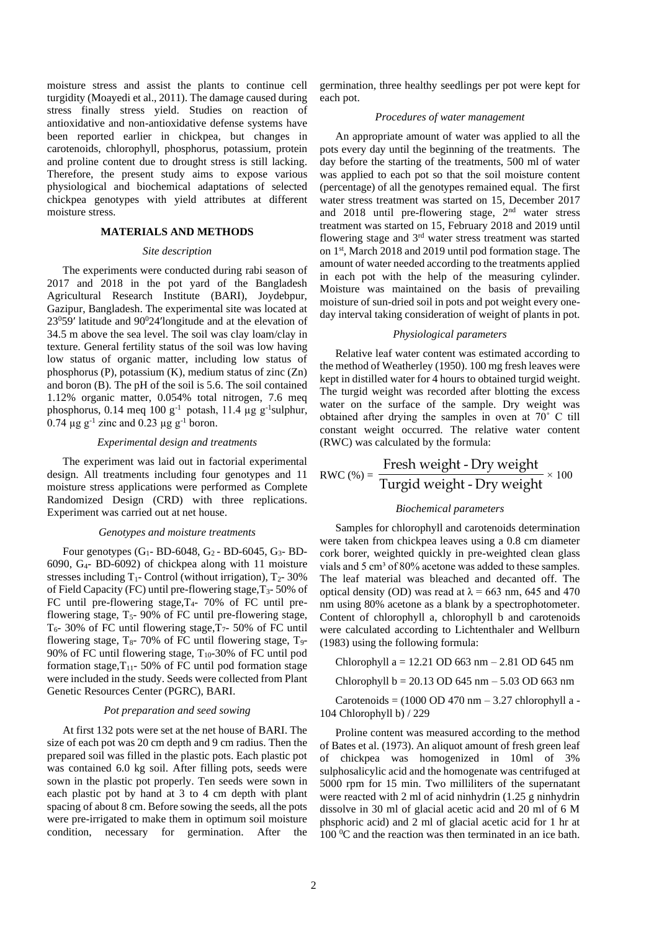moisture stress and assist the plants to continue cell turgidity (Moayedi et al., 2011). The damage caused during stress finally stress yield. Studies on reaction of antioxidative and non-antioxidative defense systems have been reported earlier in chickpea, but changes in carotenoids, chlorophyll, phosphorus, potassium, protein and proline content due to drought stress is still lacking. Therefore, the present study aims to expose various physiological and biochemical adaptations of selected chickpea genotypes with yield attributes at different moisture stress.

### **MATERIALS AND METHODS**

# *Site description*

The experiments were conducted during rabi season of 2017 and 2018 in the pot yard of the Bangladesh Agricultural Research Institute (BARI), Joydebpur, Gazipur, Bangladesh. The experimental site was located at  $23<sup>0</sup>59'$  latitude and  $90<sup>0</sup>24'$ longitude and at the elevation of 34.5 m above the sea level. The soil was clay loam/clay in texture. General fertility status of the soil was low having low status of organic matter, including low status of phosphorus (P), potassium (K), medium status of zinc (Zn) and boron (B). The pH of the soil is 5.6. The soil contained 1.12% organic matter, 0.054% total nitrogen, 7.6 meq phosphorus, 0.14 meq 100  $g^{-1}$  potash, 11.4  $\mu g g^{-1}$ sulphur, 0.74  $\mu$ g g<sup>-1</sup> zinc and 0.23  $\mu$ g g<sup>-1</sup> boron.

### *Experimental design and treatments*

The experiment was laid out in factorial experimental design. All treatments including four genotypes and 11 moisture stress applications were performed as Complete Randomized Design (CRD) with three replications. Experiment was carried out at net house.

#### *Genotypes and moisture treatments*

Four genotypes  $(G_1 - BD - 6048, G_2 - BD - 6045, G_3 - BD -$ 6090, G4- BD-6092) of chickpea along with 11 moisture stresses including  $T_1$ - Control (without irrigation),  $T_2$ - 30% of Field Capacity (FC) until pre-flowering stage,  $T_3$ - 50% of FC until pre-flowering stage,  $T_4$ - 70% of FC until preflowering stage,  $T_5$ - 90% of FC until pre-flowering stage,  $T_6$ - 30% of FC until flowering stage,  $T_7$ - 50% of FC until flowering stage,  $T_8$ - 70% of FC until flowering stage,  $T_9$ -90% of FC until flowering stage,  $T_{10}$ -30% of FC until pod formation stage, $T_{11}$ - 50% of FC until pod formation stage were included in the study. Seeds were collected from Plant Genetic Resources Center (PGRC), BARI.

#### *Pot preparation and seed sowing*

At first 132 pots were set at the net house of BARI. The size of each pot was 20 cm depth and 9 cm radius. Then the prepared soil was filled in the plastic pots. Each plastic pot was contained 6.0 kg soil. After filling pots, seeds were sown in the plastic pot properly. Ten seeds were sown in each plastic pot by hand at 3 to 4 cm depth with plant spacing of about 8 cm. Before sowing the seeds, all the pots were pre-irrigated to make them in optimum soil moisture condition, necessary for germination. After the

germination, three healthy seedlings per pot were kept for each pot.

### *Procedures of water management*

An appropriate amount of water was applied to all the pots every day until the beginning of the treatments. The day before the starting of the treatments, 500 ml of water was applied to each pot so that the soil moisture content (percentage) of all the genotypes remained equal. The first water stress treatment was started on 15, December 2017 and 2018 until pre-flowering stage, 2nd water stress treatment was started on 15, February 2018 and 2019 until flowering stage and 3rd water stress treatment was started on 1<sup>st</sup>, March 2018 and 2019 until pod formation stage. The amount of water needed according to the treatments applied in each pot with the help of the measuring cylinder. Moisture was maintained on the basis of prevailing moisture of sun-dried soil in pots and pot weight every oneday interval taking consideration of weight of plants in pot.

# *Physiological parameters*

Relative leaf water content was estimated according to the method of Weatherley (1950). 100 mg fresh leaves were kept in distilled water for 4 hours to obtained turgid weight. The turgid weight was recorded after blotting the excess water on the surface of the sample. Dry weight was obtained after drying the samples in oven at 70˚ C till constant weight occurred. The relative water content (RWC) was calculated by the formula:

$$
RWC\left(\% \right) = \frac{\text{Fresh weight - Dry weight}}{\text{Turgid weight - Dry weight}} \times 100
$$

### *Biochemical parameters*

Samples for chlorophyll and carotenoids determination were taken from chickpea leaves using a 0.8 cm diameter cork borer, weighted quickly in pre-weighted clean glass vials and 5 cm<sup>3</sup> of 80% acetone was added to these samples. The leaf material was bleached and decanted off. The optical density (OD) was read at  $\lambda = 663$  nm, 645 and 470 nm using 80% acetone as a blank by a spectrophotometer. Content of chlorophyll a, chlorophyll b and carotenoids were calculated according to Lichtenthaler and Wellburn (1983) using the following formula:

Chlorophyll a = 12.21 OD 663 nm – 2.81 OD 645 nm

Chlorophyll  $b = 20.13$  OD 645 nm  $- 5.03$  OD 663 nm

Carotenoids =  $(1000 \text{ OD } 470 \text{ nm} - 3.27 \text{ chlorophyll } a$  -104 Chlorophyll b) / 229

Proline content was measured according to the method of Bates et al. (1973). An aliquot amount of fresh green leaf of chickpea was homogenized in 10ml of 3% sulphosalicylic acid and the homogenate was centrifuged at 5000 rpm for 15 min. Two milliliters of the supernatant were reacted with 2 ml of acid ninhydrin (1.25 g ninhydrin dissolve in 30 ml of glacial acetic acid and 20 ml of 6 M phsphoric acid) and 2 ml of glacial acetic acid for 1 hr at  $100<sup>0</sup>C$  and the reaction was then terminated in an ice bath.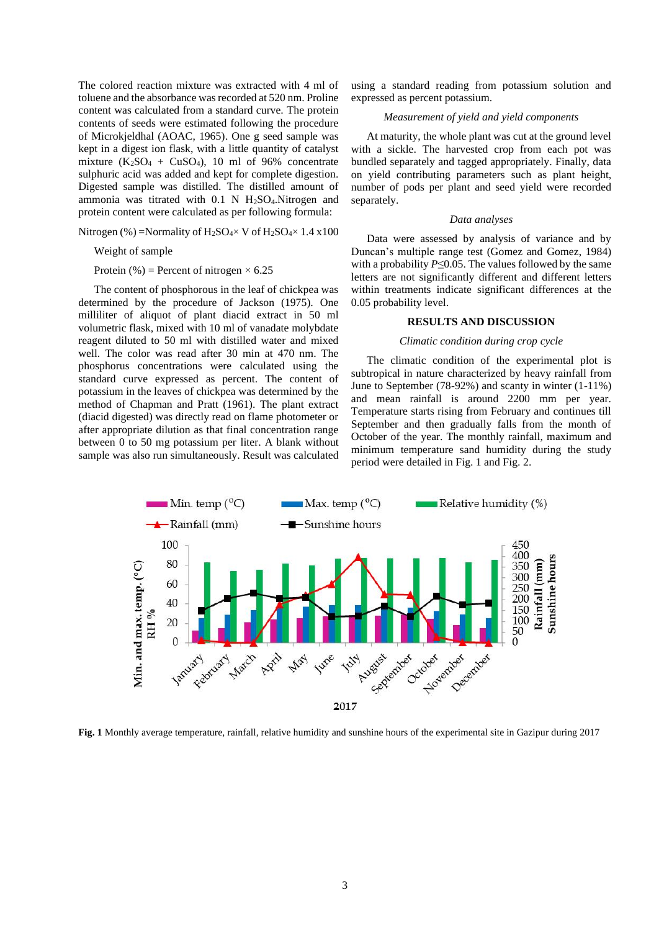The colored reaction mixture was extracted with 4 ml of toluene and the absorbance was recorded at 520 nm. Proline content was calculated from a standard curve. The protein contents of seeds were estimated following the procedure of Microkjeldhal (AOAC, 1965). One g seed sample was kept in a digest ion flask, with a little quantity of catalyst mixture  $(K_2SO_4 + CuSO_4)$ , 10 ml of 96% concentrate sulphuric acid was added and kept for complete digestion. Digested sample was distilled. The distilled amount of ammonia was titrated with  $0.1$  N H<sub>2</sub>SO<sub>4</sub>.Nitrogen and protein content were calculated as per following formula:

Nitrogen (%) =Normality of  $H_2SO_4 \times V$  of  $H_2SO_4 \times 1.4 \times 100$ 

Weight of sample

Protein (%) = Percent of nitrogen  $\times$  6.25

The content of phosphorous in the leaf of chickpea was determined by the procedure of Jackson (1975). One milliliter of aliquot of plant diacid extract in 50 ml volumetric flask, mixed with 10 ml of vanadate molybdate reagent diluted to 50 ml with distilled water and mixed well. The color was read after 30 min at 470 nm. The phosphorus concentrations were calculated using the standard curve expressed as percent. The content of potassium in the leaves of chickpea was determined by the method of Chapman and Pratt (1961). The plant extract (diacid digested) was directly read on flame photometer or after appropriate dilution as that final concentration range between 0 to 50 mg potassium per liter. A blank without sample was also run simultaneously. Result was calculated using a standard reading from potassium solution and expressed as percent potassium.

### *Measurement of yield and yield components*

At maturity, the whole plant was cut at the ground level with a sickle. The harvested crop from each pot was bundled separately and tagged appropriately. Finally, data on yield contributing parameters such as plant height, number of pods per plant and seed yield were recorded separately.

#### *Data analyses*

Data were assessed by analysis of variance and by Duncan's multiple range test (Gomez and Gomez, 1984) with a probability *P*≤0.05. The values followed by the same letters are not significantly different and different letters within treatments indicate significant differences at the 0.05 probability level.

# **RESULTS AND DISCUSSION**

### *Climatic condition during crop cycle*

The climatic condition of the experimental plot is subtropical in nature characterized by heavy rainfall from June to September (78-92%) and scanty in winter (1-11%) and mean rainfall is around 2200 mm per year. Temperature starts rising from February and continues till September and then gradually falls from the month of October of the year. The monthly rainfall, maximum and minimum temperature sand humidity during the study period were detailed in Fig. 1 and Fig. 2.



**Fig. 1** Monthly average temperature, rainfall, relative humidity and sunshine hours of the experimental site in Gazipur during 2017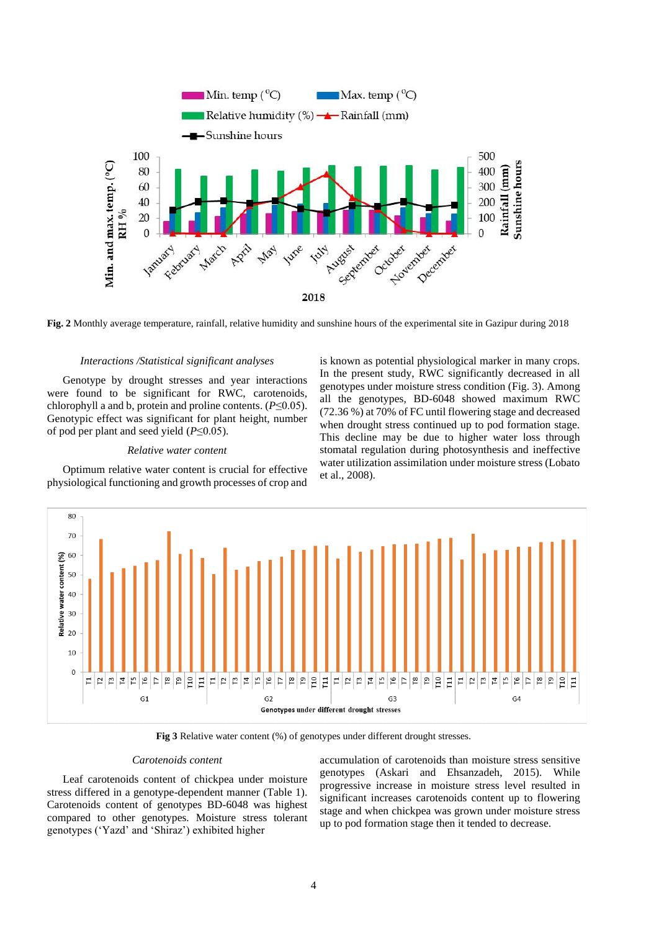

**Fig. 2** Monthly average temperature, rainfall, relative humidity and sunshine hours of the experimental site in Gazipur during 2018

#### *Interactions /Statistical significant analyses*

Genotype by drought stresses and year interactions were found to be significant for RWC, carotenoids, chlorophyll a and b, protein and proline contents. (*P*≤0.05). Genotypic effect was significant for plant height, number of pod per plant and seed yield (*P*≤0.05).

### *Relative water content*

Optimum relative water content is crucial for effective physiological functioning and growth processes of crop and

is known as potential physiological marker in many crops. In the present study, RWC significantly decreased in all genotypes under moisture stress condition (Fig. 3). Among all the genotypes, BD-6048 showed maximum RWC (72.36 %) at 70% of FC until flowering stage and decreased when drought stress continued up to pod formation stage. This decline may be due to higher water loss through stomatal regulation during photosynthesis and ineffective water utilization assimilation under moisture stress (Lobato et al., 2008).



**Fig 3** Relative water content (%) of genotypes under different drought stresses.

#### *Carotenoids content*

Leaf carotenoids content of chickpea under moisture stress differed in a genotype-dependent manner (Table 1). Carotenoids content of genotypes BD-6048 was highest compared to other genotypes. Moisture stress tolerant genotypes ('Yazd' and 'Shiraz') exhibited higher

accumulation of carotenoids than moisture stress sensitive genotypes (Askari and Ehsanzadeh, 2015). While progressive increase in moisture stress level resulted in significant increases carotenoids content up to flowering stage and when chickpea was grown under moisture stress up to pod formation stage then it tended to decrease.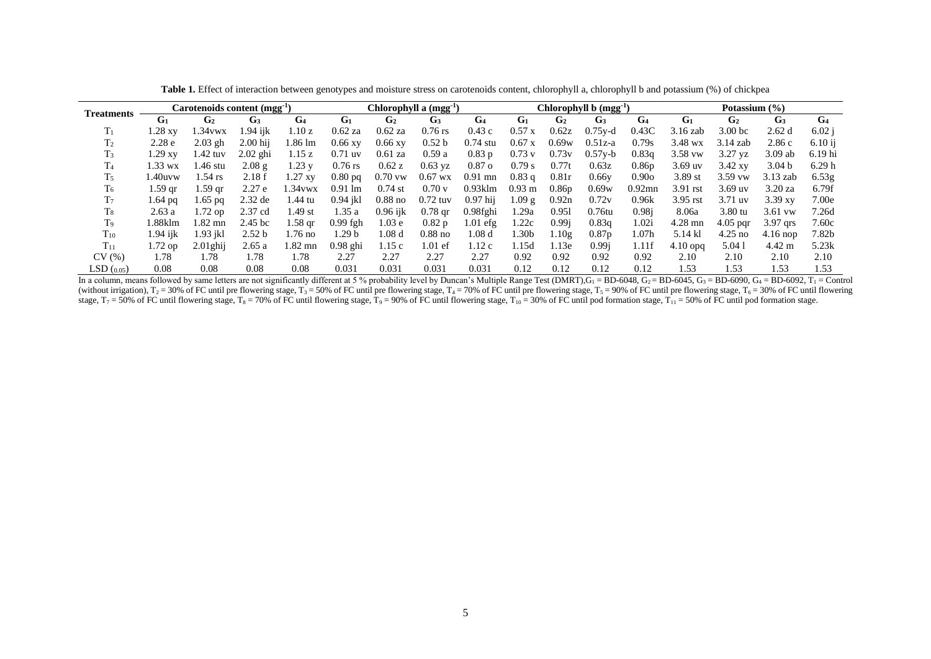| <b>Treatments</b> |                   | Carotenoids content (mgg <sup>-1</sup> ) |                    |                | Chlorophyll a (mgg <sup>-1</sup> ) |                   |                   |                   | Chlorophyll b (mgg-1) |                   |                   |                   | Potassium (%)  |                    |                   |                |
|-------------------|-------------------|------------------------------------------|--------------------|----------------|------------------------------------|-------------------|-------------------|-------------------|-----------------------|-------------------|-------------------|-------------------|----------------|--------------------|-------------------|----------------|
|                   | G <sub>1</sub>    | G <sub>2</sub>                           | G <sub>3</sub>     | G <sub>4</sub> | G <sub>1</sub>                     | G <sub>2</sub>    | G <sub>3</sub>    | G <sub>4</sub>    | G <sub>1</sub>        | G <sub>2</sub>    | G <sub>3</sub>    | G <sub>4</sub>    | G <sub>1</sub> | G <sub>2</sub>     | G <sub>3</sub>    | G <sub>4</sub> |
| $\rm T_1$         | 1.28 xv           | .34 vwx                                  | $1.94$ iik         | 1.10 z         | $0.62$ za                          | $0.62$ za         | $0.76$ rs         | 0.43c             | $0.57$ x              | 0.62z             | $0.75$ y-d        | 0.43C             | $3.16$ zab     | 3.00 <sub>bc</sub> | 2.62d             | 6.02 i         |
| T <sub>2</sub>    | 2.28 <sub>e</sub> | $2.03$ gh                                | $2.00$ hii         | l.86 lm        | $0.66$ xy                          | $0.66 \text{ xy}$ | 0.52 <sub>b</sub> | $0.74$ stu        | 0.67 x                | 0.69w             | $0.51z-a$         | 0.79s             | $3.48$ wx      | $3.14$ zab         | 2.86c             | $6.10$ ij      |
| $T_3$             | 1.29 xv           | 1.42 tuv                                 | $2.02$ ghi         | 1.15 z         | $0.71$ uv                          | $0.61$ za         | 0.59a             | 0.83p             | $0.73$ v              | 0.73v             | $0.57y - b$       | 0.83q             | $3.58$ vw      | $3.27$ vz          | $3.09$ ab         | 6.19 hi        |
| T <sub>4</sub>    | .33 wx            | 1.46 stu                                 | 2.08g              | 1.23 y         | $0.76$ rs                          | 0.62 z            | $0.63$ yz         | 0.87 <sub>o</sub> | 0.79 s                | 0.77t             | 0.63z             | 0.86 <sub>p</sub> | $3.69$ uv      | $3.42$ xy          | 3.04 <sub>b</sub> | 6.29h          |
| T <sub>5</sub>    | .40uvw            | $1.54$ rs                                | 2.18f              | 1.27 xv        | $0.80$ pq                          | $0.70$ vw         | $0.67$ wx         | $0.91$ mn         | $0.83$ q              | 0.81r             | 0.66v             | 0.90 <sub>o</sub> | 3.89 st        | $3.59$ vw          | $3.13$ zab        | 6.53g          |
| T <sub>6</sub>    | 1.59 gr           | l .59 ar                                 | 2.27e              | $.34$ vwx      | $0.91 \text{ lm}$                  | $0.74$ st         | 0.70v             | $0.93$ klm        | $0.93 \text{ m}$      | 0.86 <sub>p</sub> | 0.69w             | $0.92$ mn         | $3.91$ rst     | $3.69$ uv          | $3.20$ za         | 6.79f          |
| T <sub>7</sub>    | 1.64 pg           | l.65 pq                                  | $2.32$ de          | 1.44 tu        | $0.94$ jkl                         | $0.88$ no         | $0.72$ tuv        | $0.97$ hij        | 1.09 g                | 0.92n             | 0.72v             | 0.96k             | $3.95$ rst     | $3.71$ uv          | 3.39xy            | 7.00e          |
| $T_8$             | 2.63a             | 1.72 op                                  | 2.37 cd            | 1.49 st        | 1.35a                              | $0.96$ iik        | $0.78$ gr         | 0.98fghi          | .29a                  | 0.951             | $0.76$ tu         | 0.98 <sub>i</sub> | 8.06a          | $3.80 \text{ tu}$  | $3.61$ vw         | 7.26d          |
| T <sub>9</sub>    | l.88klm           | 1.82 mn                                  | 2.45 <sub>bc</sub> | 1.58 gr        | $0.99$ fgh                         | 1.03 <sub>e</sub> | 0.82p             | $1.01$ efg        | .22c                  | 0.99i             | 0.83q             | 1.02i             | $4.28$ mn      | $4.05$ par         | 3.97 qrs          | 7.60c          |
| $T_{10}$          | 1.94 iik          | 1.93 ikl                                 | 2.52 <sub>b</sub>  | .76 no         | l.29 b                             | l.08 d            | $0.88$ no         | $1.08~\mathrm{d}$ | .30b                  | .10g              | 0.87 <sub>p</sub> | l.07h             | 5.14 kl        | $4.25$ no          | $4.16$ nop        | 7.82b          |
| $T_{11}$          | 1.72 op           | $2.01$ ghij                              | 2.65a              | 1.82 mn        | $0.98$ ghi                         | 1.15c             | $1.01$ ef         | 1.12c             | 1.15d                 | 1.13e             | 0.99i             | 1.11f             | $4.10$ opg     | 5.041              | $4.42 \text{ m}$  | 5.23k          |
| CV(%)             | 1.78              | 1.78                                     | 1.78               | 1.78           | 2.27                               | 2.27              | 2.27              | 2.27              | 0.92                  | 0.92              | 0.92              | 0.92              | 2.10           | 2.10               | 2.10              | 2.10           |
| LSD(0.05)         | 0.08              | 0.08                                     | 0.08               | 0.08           | 0.031                              | 0.031             | 0.031             | 0.031             | 0.12                  | 0.12              | 0.12              | 0.12              | 1.53           | 1.53               | 1.53              | 1.53           |

Table 1. Effect of interaction between genotypes and moisture stress on carotenoids content, chlorophyll a, chlorophyll b and potassium (%) of chickpea

In a column, means followed by same letters are not significantly different at 5 % probability level by Duncan's Multiple Range Test (DMRT),  $G_1 = BD-6048$ ,  $G_2 = BD-6045$ ,  $G_3 = BD-6090$ ,  $G_4 = BD-6092$ ,  $T_1 = Control$ (without irrigation),  $T_2 = 30\%$  of FC until pre flowering stage,  $T_3 = 50\%$  of FC until pre flowering stage,  $T_4 = 70\%$  of FC until pre flowering stage,  $T_5 = 90\%$  of FC until pre flowering stage,  $T_6 = 30\%$  of FC u stage,  $T_7 = 50\%$  of FC until flowering stage,  $T_8 = 70\%$  of FC until flowering stage,  $T_9 = 90\%$  of FC until flowering stage,  $T_{10} = 30\%$  of FC until pod formation stage,  $T_{11} = 50\%$  of FC until pod formation stag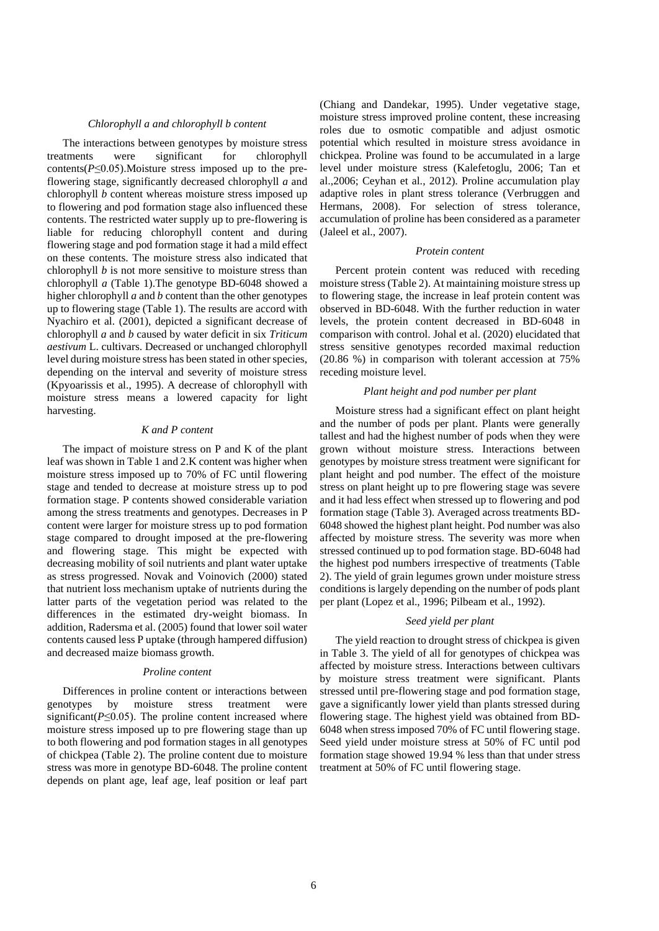#### *Chlorophyll a and chlorophyll b content*

The interactions between genotypes by moisture stress treatments were significant for chlorophyll contents( $P \le 0.05$ ). Moisture stress imposed up to the preflowering stage, significantly decreased chlorophyll *a* and chlorophyll *b* content whereas moisture stress imposed up to flowering and pod formation stage also influenced these contents. The restricted water supply up to pre-flowering is liable for reducing chlorophyll content and during flowering stage and pod formation stage it had a mild effect on these contents. The moisture stress also indicated that chlorophyll *b* is not more sensitive to moisture stress than chlorophyll *a* (Table 1).The genotype BD-6048 showed a higher chlorophyll *a* and *b* content than the other genotypes up to flowering stage (Table 1). The results are accord with Nyachiro et al. (2001), depicted a significant decrease of chlorophyll *a* and *b* caused by water deficit in six *Triticum aestivum* L. cultivars. Decreased or unchanged chlorophyll level during moisture stress has been stated in other species, depending on the interval and severity of moisture stress (Kpyoarissis et al., 1995). A decrease of chlorophyll with moisture stress means a lowered capacity for light harvesting.

### *K and P content*

The impact of moisture stress on P and K of the plant leaf was shown in Table 1 and 2.K content was higher when moisture stress imposed up to 70% of FC until flowering stage and tended to decrease at moisture stress up to pod formation stage. P contents showed considerable variation among the stress treatments and genotypes. Decreases in P content were larger for moisture stress up to pod formation stage compared to drought imposed at the pre-flowering and flowering stage. This might be expected with decreasing mobility of soil nutrients and plant water uptake as stress progressed. Novak and Voinovich (2000) stated that nutrient loss mechanism uptake of nutrients during the latter parts of the vegetation period was related to the differences in the estimated dry-weight biomass. In addition, Radersma et al. (2005) found that lower soil water contents caused less P uptake (through hampered diffusion) and decreased maize biomass growth.

#### *Proline content*

Differences in proline content or interactions between genotypes by moisture stress treatment were significant( $P \leq 0.05$ ). The proline content increased where moisture stress imposed up to pre flowering stage than up to both flowering and pod formation stages in all genotypes of chickpea (Table 2). The proline content due to moisture stress was more in genotype BD-6048. The proline content depends on plant age, leaf age, leaf position or leaf part

(Chiang and Dandekar, 1995). Under vegetative stage, moisture stress improved proline content, these increasing roles due to osmotic compatible and adjust osmotic potential which resulted in moisture stress avoidance in chickpea. Proline was found to be accumulated in a large level under moisture stress (Kalefetoglu, 2006; Tan et al.,2006; Ceyhan et al., 2012). Proline accumulation play adaptive roles in plant stress tolerance (Verbruggen and Hermans, 2008). For selection of stress tolerance, accumulation of proline has been considered as a parameter (Jaleel et al., 2007).

#### *Protein content*

Percent protein content was reduced with receding moisture stress (Table 2). At maintaining moisture stress up to flowering stage, the increase in leaf protein content was observed in BD-6048. With the further reduction in water levels, the protein content decreased in BD-6048 in comparison with control. Johal et al. (2020) elucidated that stress sensitive genotypes recorded maximal reduction (20.86 %) in comparison with tolerant accession at 75% receding moisture level.

# *Plant height and pod number per plant*

Moisture stress had a significant effect on plant height and the number of pods per plant. Plants were generally tallest and had the highest number of pods when they were grown without moisture stress. Interactions between genotypes by moisture stress treatment were significant for plant height and pod number. The effect of the moisture stress on plant height up to pre flowering stage was severe and it had less effect when stressed up to flowering and pod formation stage (Table 3). Averaged across treatments BD-6048 showed the highest plant height. Pod number was also affected by moisture stress. The severity was more when stressed continued up to pod formation stage. BD-6048 had the highest pod numbers irrespective of treatments (Table 2). The yield of grain legumes grown under moisture stress conditions is largely depending on the number of pods plant per plant (Lopez et al., 1996; Pilbeam et al., 1992).

### *Seed yield per plant*

The yield reaction to drought stress of chickpea is given in Table 3. The yield of all for genotypes of chickpea was affected by moisture stress. Interactions between cultivars by moisture stress treatment were significant. Plants stressed until pre-flowering stage and pod formation stage, gave a significantly lower yield than plants stressed during flowering stage. The highest yield was obtained from BD-6048 when stress imposed 70% of FC until flowering stage. Seed yield under moisture stress at 50% of FC until pod formation stage showed 19.94 % less than that under stress treatment at 50% of FC until flowering stage.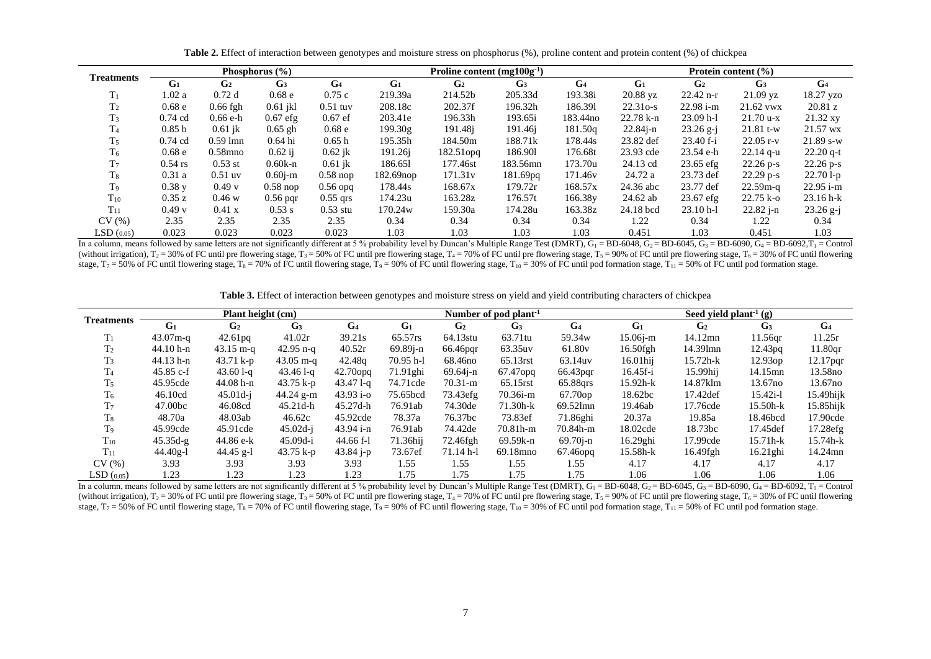| <b>Treatments</b> |                   |                  | Phosphorus $(\% )$ |                   |                       | Proline content $(mg100g^{-1})$ |                      |                     | Protein content $(\% )$ |                |                |                |
|-------------------|-------------------|------------------|--------------------|-------------------|-----------------------|---------------------------------|----------------------|---------------------|-------------------------|----------------|----------------|----------------|
|                   | G <sub>1</sub>    | G <sub>2</sub>   | G <sub>3</sub>     | G <sub>4</sub>    | G <sub>1</sub>        | G <sub>2</sub>                  | G <sub>3</sub>       | G <sub>4</sub>      | G <sub>1</sub>          | G <sub>2</sub> | G <sub>3</sub> | G <sub>4</sub> |
| $T_1$             | 1.02 a            | 0.72d            | 0.68 <sub>e</sub>  | 0.75c             | 219.39a               | 214.52b                         | 205.33d              | 193.38i             | 20.88 yz                | $22.42$ n-r    | $21.09$ yz     | 18.27 yzo      |
| T <sub>2</sub>    | 0.68 <sub>e</sub> | $0.66$ fgh       | $0.61$ jkl         | $0.51$ tuv        | 208.18c               | 202.37f                         | 196.32h              | 186.391             | $22.31o-s$              | $22.98 i-m$    | 21.62 vwx      | 20.81 z        |
| $T_3$             | $0.74$ cd         | $0.66 e-h$       | $0.67$ efg         | $0.67$ ef         | 203.41e               | 196.33h                         | 193.65i              | 183.44no            | $22.78 k-n$             | $23.09$ h-l    | $21.70 u-x$    | 21.32 xy       |
| T <sub>4</sub>    | 0.85 <sub>b</sub> | $0.61$ ik        | $0.65$ gh          | 0.68 <sub>e</sub> | 199.30g               | 191.48i                         | 191.46i              | 181.50g             | $22.84$ j-n             | $23.26$ g-j    | $21.81$ t-w    | 21.57 wx       |
| T <sub>5</sub>    | $0.74$ cd         | $0.59$ lmn       | 0.64 hi            | 0.65h             | 195.35h               | 184.50m                         | 188.71k              | 178.44s             | 23.82 def               | $23.40 f - i$  | $22.05$ r-v    | $21.89$ s-w    |
| T <sub>6</sub>    | 0.68 e            | $0.58$ mno       | $0.62$ ij          | $0.62$ ik         | 191.26i               | $182.51$ opq                    | 186.901              | 176.68t             | 23.93 cde               | 23.54 e-h      | $22.14$ q-u    | $22.20$ q-t    |
| T <sub>7</sub>    | $0.54$ rs         | $0.53$ st        | $0.60k-n$          | $0.61$ jk         | 186.651               | 177.46st                        | 183.56mn             | 173.70u             | 24.13 cd                | $23.65$ efg    | $22.26$ p-s    | $22.26$ p-s    |
| $T_{8}$           | 0.31a             | $0.51$ uv        | $0.60$ <i>j</i> -m | $0.58$ nop        | 182.69 <sub>nop</sub> | 171.31v                         | 181.69 <sub>pq</sub> | 171.46 <sub>v</sub> | 24.72 a                 | 23.73 def      | $22.29$ p-s    | $22.701-p$     |
| $T_9$             | 0.38y             | 0.49v            | $0.58$ nop         | $0.56$ opq        | 178.44s               | 168.67x                         | 179.72r              | 168.57x             | 24.36 abc               | 23.77 def      | $22.59m-q$     | $22.95 i-m$    |
| $T_{10}$          | 0.35 z            | 0.46 w           | $0.56$ pqr         | $0.55$ grs        | 174.23u               | 163.28z                         | 176.57t              | 166.38y             | 24.62 ab                | $23.67$ efg    | $22.75 k-o$    | $23.16 h-k$    |
| $T_{11}$          | 0.49v             | $0.41 \text{ x}$ | $0.53$ s           | $0.53$ stu        | 170.24w               | 159.30a                         | 174.28u              | 163.38z             | 24.18 bcd               | $23.10 h-1$    | $22.82$ j-n    | $23.26$ g-j    |
| CV(%)             | 2.35              | 2.35             | 2.35               | 2.35              | 0.34                  | 0.34                            | 0.34                 | 0.34                | 1.22                    | 0.34           | 1.22           | 0.34           |
| LSD(0.05)         | 0.023             | 0.023            | 0.023              | 0.023             | 1.03                  | 1.03                            | 1.03                 | 1.03                | 0.451                   | 1.03           | 0.451          | 1.03           |

Table 2. Effect of interaction between genotypes and moisture stress on phosphorus (%), proline content and protein content (%) of chickpea

In a column, means followed by same letters are not significantly different at 5 % probability level by Duncan's Multiple Range Test (DMRT),  $G_1 = BD-6048$ ,  $G_2 = BD-6045$ ,  $G_3 = BD-6090$ ,  $G_4 = BD-6090$ ,  $T_1 = Control$ (without irrigation),  $T_2 = 30\%$  of FC until pre flowering stage,  $T_3 = 50\%$  of FC until pre flowering stage,  $T_4 = 70\%$  of FC until pre flowering stage,  $T_5 = 90\%$  of FC until pre flowering stage,  $T_6 = 30\%$  of FC u stage,  $T_7 = 50\%$  of FC until flowering stage,  $T_8 = 70\%$  of FC until flowering stage,  $T_9 = 90\%$  of FC until flowering stage,  $T_{10} = 30\%$  of FC until pod formation stage,  $T_{11} = 50\%$  of FC until pod formation stag

Table 3. Effect of interaction between genotypes and moisture stress on yield and yield contributing characters of chickpea

| <b>Treatments</b> |                | Plant height (cm)   |                |                |             |                     | Number of pod plant <sup>-1</sup> |                    | Seed yield plant <sup>-1</sup> (g) |                |                     |                     |  |
|-------------------|----------------|---------------------|----------------|----------------|-------------|---------------------|-----------------------------------|--------------------|------------------------------------|----------------|---------------------|---------------------|--|
|                   | G <sub>1</sub> | G <sub>2</sub>      | G <sub>3</sub> | G <sub>4</sub> | $G_1$       | G <sub>2</sub>      | G <sub>3</sub>                    | G <sub>4</sub>     | G <sub>1</sub>                     | G <sub>2</sub> | G <sub>3</sub>      | G <sub>4</sub>      |  |
| $T_1$             | $43.07m - q$   | 42.61pq             | 41.02r         | 39.21s         | 65.57rs     | 64.13stu            | 63.71tu                           | 59.34 <sub>w</sub> | $15.06j-m$                         | 14.12mn        | $11.56$ gr          | 11.25r              |  |
| T <sub>2</sub>    | $44.10 h-n$    | $43.15 \text{ m-q}$ | $42.95$ n-q    | 40.52r         | $69.89j-n$  | 66.46pqr            | 63.35uv                           | 61.80 <sub>v</sub> | $16.50$ fgh                        | 14.39lmn       | 12.43 <sub>pq</sub> | 11.80 <sub>qr</sub> |  |
| T <sub>3</sub>    | $44.13 h-n$    | 43.71 $k-p$         | $43.05$ m-q    | 42.48g         | $70.95$ h-l | 68.46 <sub>no</sub> | 65.13rst                          | 63.14uv            | $16.01$ hij                        | $15.72h-k$     | 12.93op             | $12.17$ pqr         |  |
| T <sub>4</sub>    | $45.85 c-f$    | $43.601 - q$        | $43.461 - q$   | $42.70$ opq    | $71.91$ ghi | $69.64j-n$          | 67.47 <sub>opg</sub>              | 66.43pqr           | 16.45f-i                           | 15.99hij       | 14.15mn             | 13.58 <sub>no</sub> |  |
| $T_5$             | 45.95cde       | $44.08 h-n$         | 43.75 k-p      | $43.471 - q$   | 74.71cde    | $70.31 - m$         | 65.15rst                          | 65.88grs           | $15.92h-k$                         | 14.87klm       | 13.67 <sub>no</sub> | 13.67 <sub>no</sub> |  |
| T <sub>6</sub>    | 46.10cd        | $45.01d - i$        | $44.24$ g-m    | $43.93 i-o$    | 75.65bcd    | 73.43efg            | $70.36i$ -m                       | 67.70op            | 18.62bc                            | 17.42def       | $15.42i-1$          | $15.49$ hijk        |  |
| T <sub>7</sub>    | 47.00bc        | 46.08cd             | $45.21d-h$     | $45.27d-h$     | 76.91ab     | 74.30de             | $71.30h - k$                      | 69.52lmn           | 19.46ab                            | 17.76cde       | $15.50h - k$        | $15.85$ hijk        |  |
| T <sub>8</sub>    | 48.70a         | 48.03ab             | 46.62c         | 45.92cde       | 78.37a      | 76.37bc             | 73.83ef                           | 71.86ghi           | 20.37a                             | 19.85a         | 18.46bcd            | 17.90cde            |  |
| T <sub>9</sub>    | 45.99cde       | 45.91cde            | $45.02d - j$   | $43.94 i-n$    | 76.91ab     | 74.42de             | $70.81h-m$                        | 70.84h-m           | 18.02cde                           | 18.73bc        | 17.45def            | 17.28efg            |  |
| $T_{10}$          | $45.35d-g$     | 44.86 e-k           | $45.09d - i$   | $44.66 f-1$    | 71.36hij    | 72.46fgh            | 69.59k-n                          | $69.70j-n$         | 16.29ghi                           | 17.99cde       | $15.71h-k$          | 15.74h-k            |  |
| $T_{11}$          | $44.40g-1$     | 44.45 g-l           | 43.75 k-p      | $43.84$ j-p    | 73.67ef     | $71.14$ h-l         | 69.18mno                          | $67.46$ opq        | 15.58h-k                           | 16.49fgh       | $16.21$ ghi         | 14.24mn             |  |
| CV(%)             | 3.93           | 3.93                | 3.93           | 3.93           | 1.55        | 1.55                | 1.55                              | 1.55               | 4.17                               | 4.17           | 4.17                | 4.17                |  |
| LSD(0.05)         | 1.23           | 1.23                | 1.23           | 1.23           | 1.75        | 1.75                | 1.75                              | 1.75               | 1.06                               | 1.06           | 1.06                | 1.06                |  |

In a column, means followed by same letters are not significantly different at 5 % probability level by Duncan's Multiple Range Test (DMRT),  $G_1 = BD-6048$ ,  $G_2 = BD-6045$ ,  $G_3 = BD-6090$ ,  $G_4 = BD-6092$ ,  $T_1 = Control$ (without irrigation),  $T_2 = 30\%$  of FC until pre flowering stage,  $T_3 = 50\%$  of FC until pre flowering stage,  $T_4 = 70\%$  of FC until pre flowering stage,  $T_5 = 90\%$  of FC until pre flowering stage,  $T_6 = 30\%$  of FC u stage,  $T_7 = 50\%$  of FC until flowering stage,  $T_8 = 70\%$  of FC until flowering stage,  $T_9 = 90\%$  of FC until flowering stage,  $T_{10} = 30\%$  of FC until pod formation stage,  $T_{11} = 50\%$  of FC until pod formation stag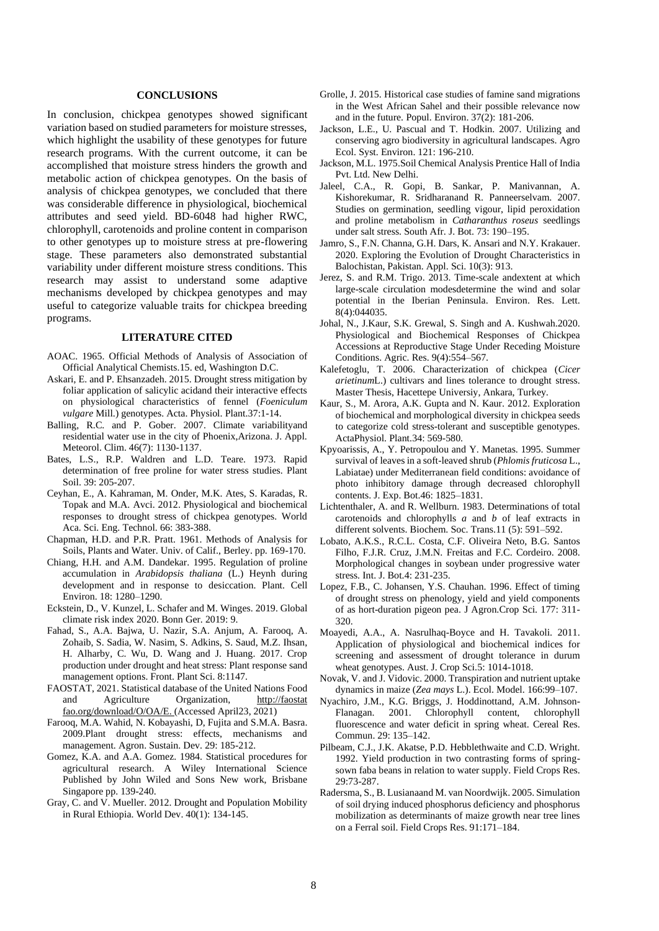#### **CONCLUSIONS**

In conclusion, chickpea genotypes showed significant variation based on studied parameters for moisture stresses, which highlight the usability of these genotypes for future research programs. With the current outcome, it can be accomplished that moisture stress hinders the growth and metabolic action of chickpea genotypes. On the basis of analysis of chickpea genotypes, we concluded that there was considerable difference in physiological, biochemical attributes and seed yield. BD-6048 had higher RWC, chlorophyll, carotenoids and proline content in comparison to other genotypes up to moisture stress at pre-flowering stage. These parameters also demonstrated substantial variability under different moisture stress conditions. This research may assist to understand some adaptive mechanisms developed by chickpea genotypes and may useful to categorize valuable traits for chickpea breeding programs.

#### **LITERATURE CITED**

- AOAC. 1965. Official Methods of Analysis of Association of Official Analytical Chemists.15. ed, Washington D.C.
- Askari, E. and P. Ehsanzadeh. 2015. Drought stress mitigation by foliar application of salicylic acidand their interactive effects on physiological characteristics of fennel (*Foeniculum vulgare* Mill.) genotypes. Acta. Physiol. Plant.37:1-14.
- Balling, R.C. and P. Gober. 2007. Climate variabilityand residential water use in the city of Phoenix,Arizona. J. Appl. Meteorol. Clim. 46(7): 1130-1137.
- Bates, L.S., R.P. Waldren and L.D. Teare. 1973. Rapid determination of free proline for water stress studies. Plant Soil. 39: 205-207.
- Ceyhan, E., A. Kahraman, M. Onder, M.K. Ates, S. Karadas, R. Topak and M.A. Avci. 2012. Physiological and biochemical responses to drought stress of chickpea genotypes. World Aca. Sci. Eng. Technol. 66: 383-388.
- Chapman, H.D. and P.R. Pratt. 1961. Methods of Analysis for Soils, Plants and Water. Univ. of Calif., Berley. pp. 169-170.
- Chiang, H.H. and A.M. Dandekar. 1995. Regulation of proline accumulation in *Arabidopsis thaliana* (L.) Heynh during development and in response to desiccation. Plant. Cell Environ. 18: 1280–1290.
- Eckstein, D., V. Kunzel, L. Schafer and M. Winges. 2019. Global climate risk index 2020. Bonn Ger. 2019: 9.
- Fahad, S., A.A. Bajwa, U. Nazir, S.A. Anjum, A. Farooq, A. Zohaib, S. Sadia, W. Nasim, S. Adkins, S. Saud, M.Z. Ihsan, H. Alharby, C. Wu, D. Wang and J. Huang. 2017. Crop production under drought and heat stress: Plant response sand management options. Front. Plant Sci. 8:1147.
- FAOSTAT, 2021. Statistical database of the United Nations Food and Agriculture Organization, [http://faostat](http://faostat/) fao.org/download/O/OA/E. (Accessed April23, 2021)
- Farooq, M.A. Wahid, N. Kobayashi, D, Fujita and S.M.A. Basra. 2009.Plant drought stress: effects, mechanisms and management. Agron. Sustain. Dev. 29: 185-212.
- Gomez, K.A. and A.A. Gomez. 1984. Statistical procedures for agricultural research. A Wiley International Science Published by John Wiled and Sons New work, Brisbane Singapore pp. 139-240.
- Gray, C. and V. Mueller. 2012. Drought and Population Mobility in Rural Ethiopia. World Dev. 40(1): 134-145.
- Grolle, J. 2015. Historical case studies of famine sand migrations in the West African Sahel and their possible relevance now and in the future. Popul. Environ. 37(2): 181-206.
- Jackson, L.E., U. Pascual and T. Hodkin. 2007. Utilizing and conserving agro biodiversity in agricultural landscapes. Agro Ecol. Syst. Environ. 121: 196-210.
- Jackson, M.L. 1975.Soil Chemical Analysis Prentice Hall of India Pvt. Ltd. New Delhi.
- Jaleel, C.A., R. Gopi, B. Sankar, P. Manivannan, A. Kishorekumar, R. Sridharanand R. Panneerselvam. 2007. Studies on germination, seedling vigour, lipid peroxidation and proline metabolism in *Catharanthus roseus* seedlings under salt stress. South Afr. J. Bot. 73: 190–195.
- Jamro, S., F.N. Channa, G.H. Dars, K. Ansari and N.Y. Krakauer. 2020. Exploring the Evolution of Drought Characteristics in Balochistan, Pakistan. Appl. Sci. 10(3): 913.
- Jerez, S. and R.M. Trigo. 2013. Time-scale andextent at which large-scale circulation modesdetermine the wind and solar potential in the Iberian Peninsula. Environ. Res. Lett. 8(4):044035.
- Johal, N., J.Kaur, S.K. Grewal, S. Singh and A. Kushwah.2020. Physiological and Biochemical Responses of Chickpea Accessions at Reproductive Stage Under Receding Moisture Conditions. Agric. Res. 9(4):554–567.
- Kalefetoglu, T. 2006. Characterization of chickpea (*Cicer arietinum*L.) cultivars and lines tolerance to drought stress. Master Thesis, Hacettepe Universiy, Ankara, Turkey.
- Kaur, S., M. Arora, A.K. Gupta and N. Kaur. 2012. Exploration of biochemical and morphological diversity in chickpea seeds to categorize cold stress-tolerant and susceptible genotypes. ActaPhysiol. Plant.34: 569-580.
- Kpyoarissis, A., Y. Petropoulou and Y. Manetas. 1995. Summer survival of leaves in a soft-leaved shrub (*Phlomis fruticosa* L., Labiatae) under Mediterranean field conditions: avoidance of photo inhibitory damage through decreased chlorophyll contents. J. Exp. Bot.46: 1825–1831.
- Lichtenthaler, A. and R. Wellburn. 1983. Determinations of total carotenoids and chlorophylls *a* and *b* of leaf extracts in different solvents. Biochem. Soc. Trans.11 (5): 591–592.
- Lobato, A.K.S., R.C.L. Costa, C.F. Oliveira Neto, B.G. Santos Filho, F.J.R. Cruz, J.M.N. Freitas and F.C. Cordeiro. 2008. Morphological changes in soybean under progressive water stress. Int. J. Bot.4: 231-235.
- Lopez, F.B., C. Johansen, Y.S. Chauhan. 1996. Effect of timing of drought stress on phenology, yield and yield components of as hort-duration pigeon pea. J Agron.Crop Sci. 177: 311- 320.
- Moayedi, A.A., A. Nasrulhaq-Boyce and H. Tavakoli. 2011. Application of physiological and biochemical indices for screening and assessment of drought tolerance in durum wheat genotypes. Aust. J. Crop Sci.5: 1014-1018.
- Novak, V. and J. Vidovic. 2000. Transpiration and nutrient uptake dynamics in maize (*Zea mays* L.). Ecol. Model. 166:99–107.
- Nyachiro, J.M., K.G. Briggs, J. Hoddinottand, A.M. Johnson-Flanagan. 2001. Chlorophyll content, chlorophyll fluorescence and water deficit in spring wheat. Cereal Res. Commun. 29: 135–142.
- Pilbeam, C.J., J.K. Akatse, P.D. Hebblethwaite and C.D. Wright. 1992. Yield production in two contrasting forms of springsown faba beans in relation to water supply. Field Crops Res. 29:73-287.
- Radersma, S., B. Lusianaand M. van Noordwijk. 2005. Simulation of soil drying induced phosphorus deficiency and phosphorus mobilization as determinants of maize growth near tree lines on a Ferral soil. Field Crops Res. 91:171–184.